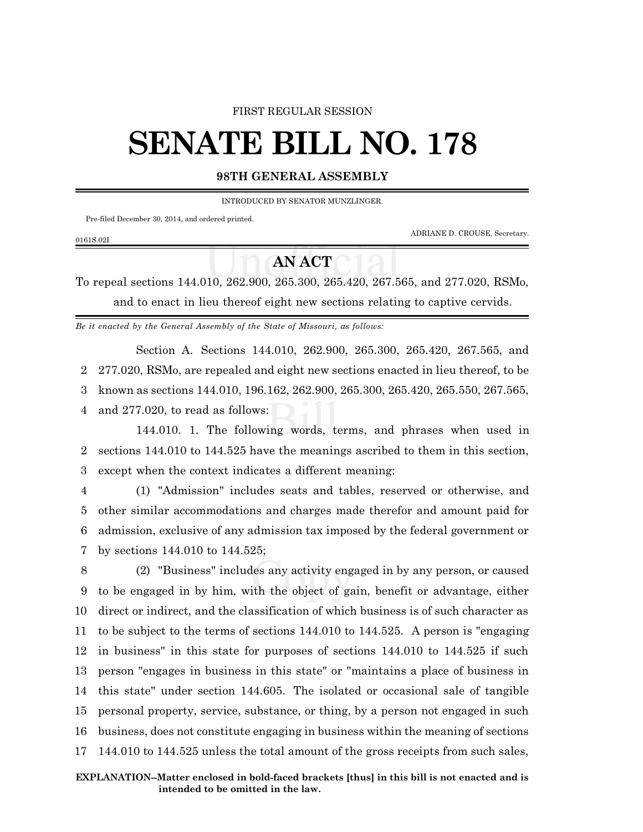#### FIRST REGULAR SESSION

# **SENATE BILL NO. 178**

#### **98TH GENERAL ASSEMBLY**

INTRODUCED BY SENATOR MUNZLINGER.

Pre-filed December 30, 2014, and ordered printed.

ADRIANE D. CROUSE, Secretary.

## 0161S.02I

### **AN ACT**

To repeal sections 144.010, 262.900, 265.300, 265.420, 267.565, and 277.020, RSMo, and to enact in lieu thereof eight new sections relating to captive cervids.

*Be it enacted by the General Assembly of the State of Missouri, as follows:*

Section A. Sections 144.010, 262.900, 265.300, 265.420, 267.565, and 2 277.020, RSMo, are repealed and eight new sections enacted in lieu thereof, to be

3 known as sections 144.010, 196.162, 262.900, 265.300, 265.420, 265.550, 267.565,

4 and 277.020, to read as follows:

144.010. 1. The following words, terms, and phrases when used in 2 sections 144.010 to 144.525 have the meanings ascribed to them in this section, 3 except when the context indicates a different meaning:

 (1) "Admission" includes seats and tables, reserved or otherwise, and other similar accommodations and charges made therefor and amount paid for admission, exclusive of any admission tax imposed by the federal government or by sections 144.010 to 144.525;

 (2) "Business" includes any activity engaged in by any person, or caused to be engaged in by him, with the object of gain, benefit or advantage, either direct or indirect, and the classification of which business is of such character as to be subject to the terms of sections 144.010 to 144.525. A person is "engaging in business" in this state for purposes of sections 144.010 to 144.525 if such person "engages in business in this state" or "maintains a place of business in this state" under section 144.605. The isolated or occasional sale of tangible personal property, service, substance, or thing, by a person not engaged in such business, does not constitute engaging in business within the meaning of sections 144.010 to 144.525 unless the total amount of the gross receipts from such sales,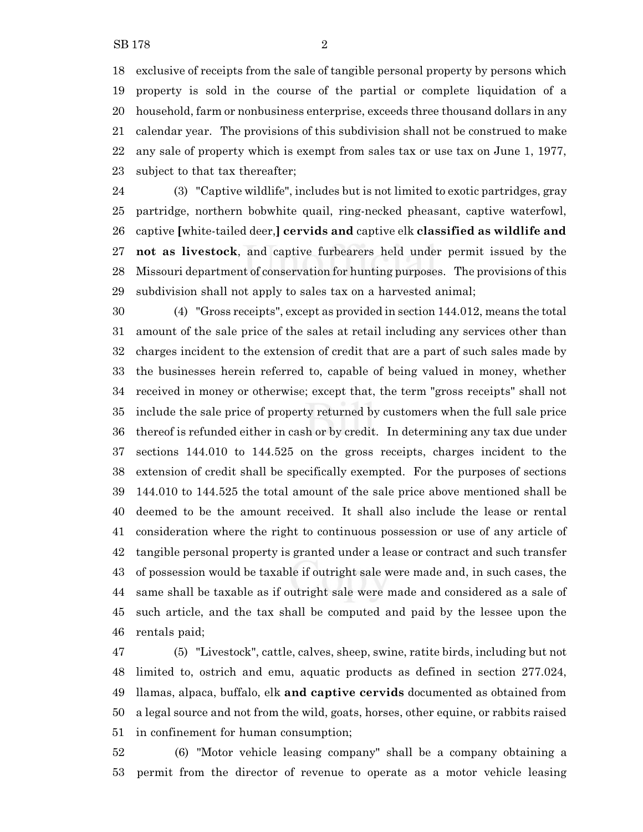exclusive of receipts from the sale of tangible personal property by persons which property is sold in the course of the partial or complete liquidation of a household, farm or nonbusiness enterprise, exceeds three thousand dollars in any calendar year. The provisions of this subdivision shall not be construed to make any sale of property which is exempt from sales tax or use tax on June 1, 1977,

subject to that tax thereafter;

 (3) "Captive wildlife", includes but is not limited to exotic partridges, gray partridge, northern bobwhite quail, ring-necked pheasant, captive waterfowl, captive **[**white-tailed deer,**] cervids and** captive elk **classified as wildlife and not as livestock**, and captive furbearers held under permit issued by the Missouri department of conservation for hunting purposes. The provisions of this subdivision shall not apply to sales tax on a harvested animal;

 (4) "Gross receipts", except as provided in section 144.012, means the total amount of the sale price of the sales at retail including any services other than charges incident to the extension of credit that are a part of such sales made by the businesses herein referred to, capable of being valued in money, whether received in money or otherwise; except that, the term "gross receipts" shall not include the sale price of property returned by customers when the full sale price thereof is refunded either in cash or by credit. In determining any tax due under sections 144.010 to 144.525 on the gross receipts, charges incident to the extension of credit shall be specifically exempted. For the purposes of sections 144.010 to 144.525 the total amount of the sale price above mentioned shall be deemed to be the amount received. It shall also include the lease or rental consideration where the right to continuous possession or use of any article of tangible personal property is granted under a lease or contract and such transfer of possession would be taxable if outright sale were made and, in such cases, the same shall be taxable as if outright sale were made and considered as a sale of such article, and the tax shall be computed and paid by the lessee upon the rentals paid;

 (5) "Livestock", cattle, calves, sheep, swine, ratite birds, including but not limited to, ostrich and emu, aquatic products as defined in section 277.024, llamas, alpaca, buffalo, elk **and captive cervids** documented as obtained from a legal source and not from the wild, goats, horses, other equine, or rabbits raised in confinement for human consumption;

 (6) "Motor vehicle leasing company" shall be a company obtaining a permit from the director of revenue to operate as a motor vehicle leasing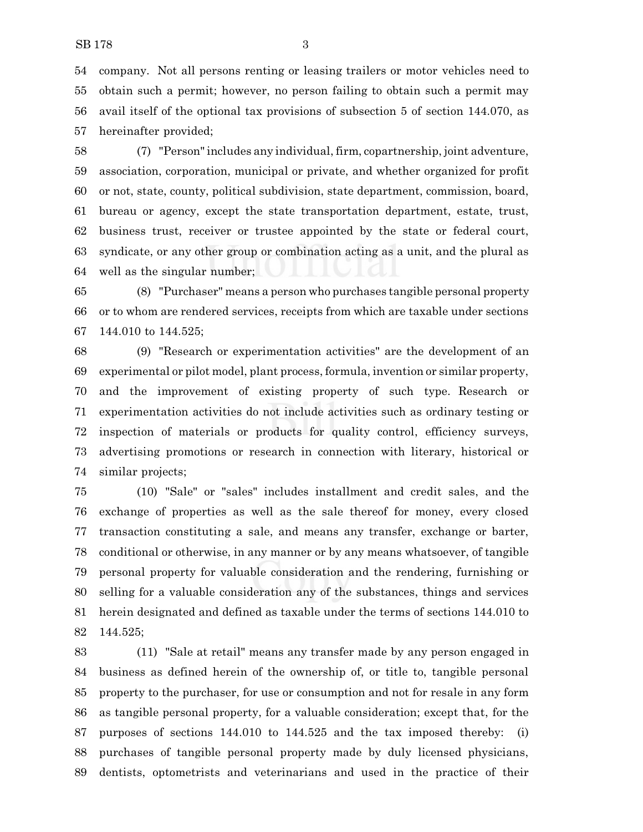company. Not all persons renting or leasing trailers or motor vehicles need to obtain such a permit; however, no person failing to obtain such a permit may avail itself of the optional tax provisions of subsection 5 of section 144.070, as hereinafter provided;

 (7) "Person" includes any individual, firm, copartnership, joint adventure, association, corporation, municipal or private, and whether organized for profit or not, state, county, political subdivision, state department, commission, board, bureau or agency, except the state transportation department, estate, trust, business trust, receiver or trustee appointed by the state or federal court, syndicate, or any other group or combination acting as a unit, and the plural as well as the singular number;

 (8) "Purchaser" means a person who purchases tangible personal property or to whom are rendered services, receipts from which are taxable under sections 144.010 to 144.525;

 (9) "Research or experimentation activities" are the development of an experimental or pilot model, plant process, formula, invention or similar property, and the improvement of existing property of such type. Research or experimentation activities do not include activities such as ordinary testing or inspection of materials or products for quality control, efficiency surveys, advertising promotions or research in connection with literary, historical or similar projects;

 (10) "Sale" or "sales" includes installment and credit sales, and the exchange of properties as well as the sale thereof for money, every closed transaction constituting a sale, and means any transfer, exchange or barter, conditional or otherwise, in any manner or by any means whatsoever, of tangible personal property for valuable consideration and the rendering, furnishing or selling for a valuable consideration any of the substances, things and services herein designated and defined as taxable under the terms of sections 144.010 to 144.525;

 (11) "Sale at retail" means any transfer made by any person engaged in business as defined herein of the ownership of, or title to, tangible personal property to the purchaser, for use or consumption and not for resale in any form as tangible personal property, for a valuable consideration; except that, for the purposes of sections 144.010 to 144.525 and the tax imposed thereby: (i) purchases of tangible personal property made by duly licensed physicians, dentists, optometrists and veterinarians and used in the practice of their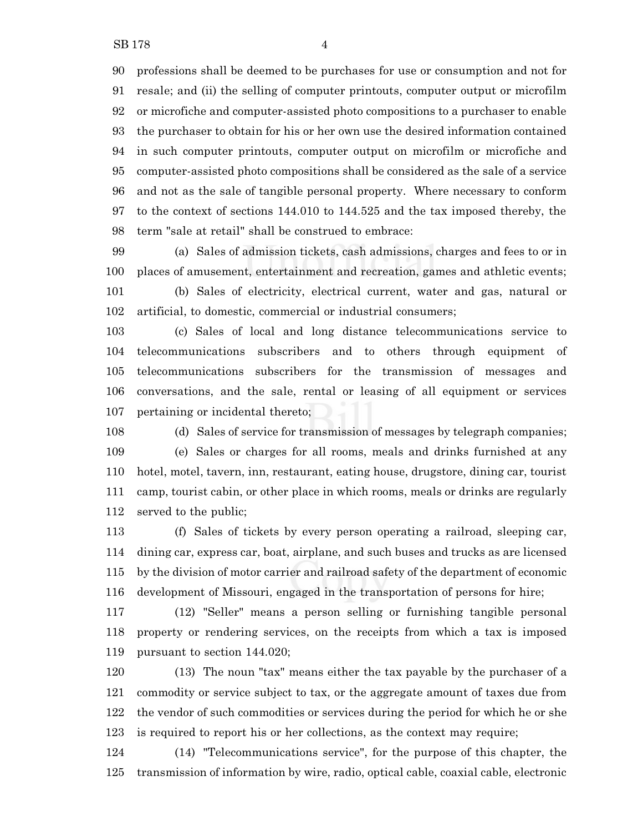professions shall be deemed to be purchases for use or consumption and not for resale; and (ii) the selling of computer printouts, computer output or microfilm or microfiche and computer-assisted photo compositions to a purchaser to enable the purchaser to obtain for his or her own use the desired information contained in such computer printouts, computer output on microfilm or microfiche and computer-assisted photo compositions shall be considered as the sale of a service and not as the sale of tangible personal property. Where necessary to conform to the context of sections 144.010 to 144.525 and the tax imposed thereby, the term "sale at retail" shall be construed to embrace:

 (a) Sales of admission tickets, cash admissions, charges and fees to or in places of amusement, entertainment and recreation, games and athletic events; (b) Sales of electricity, electrical current, water and gas, natural or artificial, to domestic, commercial or industrial consumers;

 (c) Sales of local and long distance telecommunications service to telecommunications subscribers and to others through equipment of telecommunications subscribers for the transmission of messages and conversations, and the sale, rental or leasing of all equipment or services pertaining or incidental thereto;

 (d) Sales of service for transmission of messages by telegraph companies; (e) Sales or charges for all rooms, meals and drinks furnished at any hotel, motel, tavern, inn, restaurant, eating house, drugstore, dining car, tourist camp, tourist cabin, or other place in which rooms, meals or drinks are regularly served to the public;

 (f) Sales of tickets by every person operating a railroad, sleeping car, dining car, express car, boat, airplane, and such buses and trucks as are licensed by the division of motor carrier and railroad safety of the department of economic development of Missouri, engaged in the transportation of persons for hire;

 (12) "Seller" means a person selling or furnishing tangible personal property or rendering services, on the receipts from which a tax is imposed pursuant to section 144.020;

 (13) The noun "tax" means either the tax payable by the purchaser of a commodity or service subject to tax, or the aggregate amount of taxes due from the vendor of such commodities or services during the period for which he or she is required to report his or her collections, as the context may require;

 (14) "Telecommunications service", for the purpose of this chapter, the transmission of information by wire, radio, optical cable, coaxial cable, electronic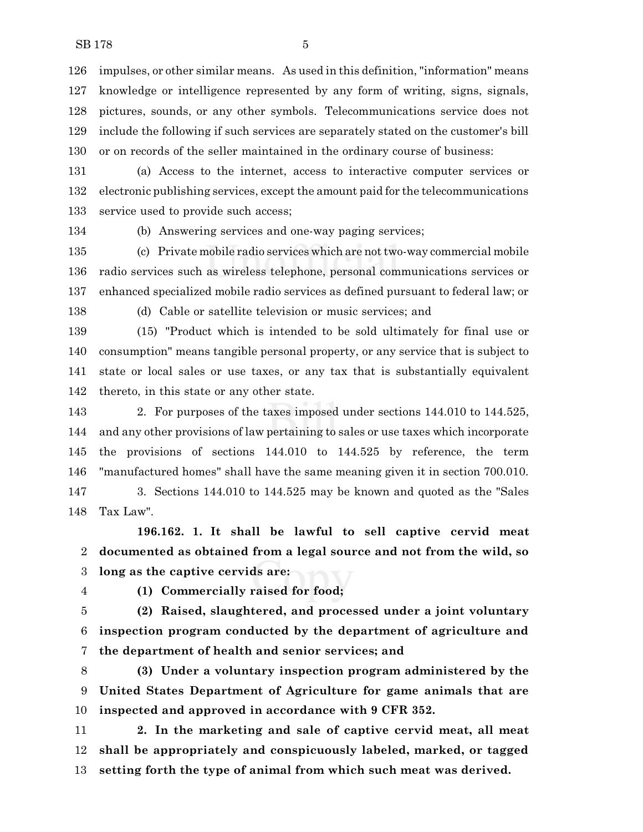impulses, or other similar means. As used in this definition, "information" means knowledge or intelligence represented by any form of writing, signs, signals, pictures, sounds, or any other symbols. Telecommunications service does not include the following if such services are separately stated on the customer's bill or on records of the seller maintained in the ordinary course of business:

 (a) Access to the internet, access to interactive computer services or electronic publishing services, except the amount paid for the telecommunications service used to provide such access;

(b) Answering services and one-way paging services;

 (c) Private mobile radio services which are not two-way commercial mobile radio services such as wireless telephone, personal communications services or enhanced specialized mobile radio services as defined pursuant to federal law; or

(d) Cable or satellite television or music services; and

 (15) "Product which is intended to be sold ultimately for final use or consumption" means tangible personal property, or any service that is subject to state or local sales or use taxes, or any tax that is substantially equivalent thereto, in this state or any other state.

 2. For purposes of the taxes imposed under sections 144.010 to 144.525, and any other provisions of law pertaining to sales or use taxes which incorporate the provisions of sections 144.010 to 144.525 by reference, the term "manufactured homes" shall have the same meaning given it in section 700.010.

 3. Sections 144.010 to 144.525 may be known and quoted as the "Sales Tax Law".

**196.162. 1. It shall be lawful to sell captive cervid meat documented as obtained from a legal source and not from the wild, so long as the captive cervids are:**

**(1) Commercially raised for food;**

 **(2) Raised, slaughtered, and processed under a joint voluntary inspection program conducted by the department of agriculture and the department of health and senior services; and**

 **(3) Under a voluntary inspection program administered by the United States Department of Agriculture for game animals that are inspected and approved in accordance with 9 CFR 352.**

 **2. In the marketing and sale of captive cervid meat, all meat shall be appropriately and conspicuously labeled, marked, or tagged setting forth the type of animal from which such meat was derived.**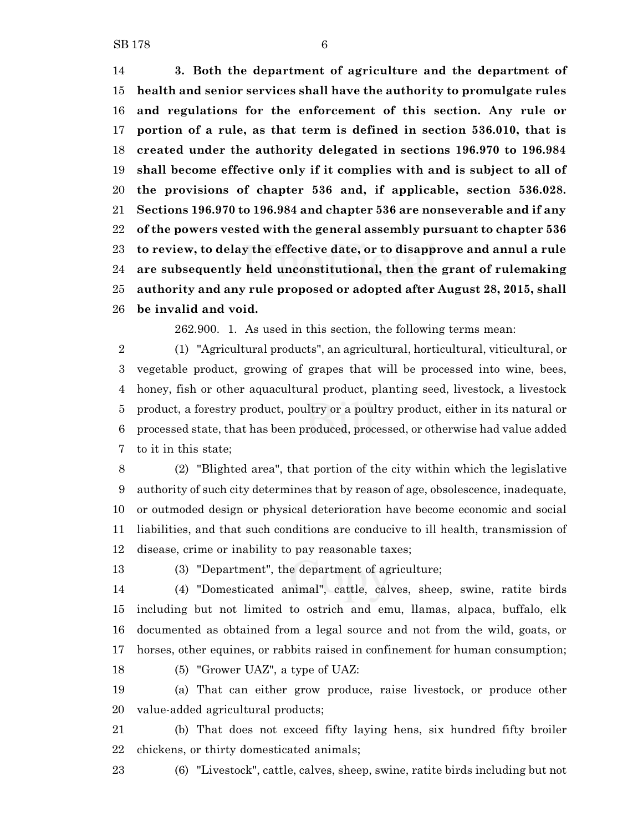**3. Both the department of agriculture and the department of health and senior services shall have the authority to promulgate rules and regulations for the enforcement of this section. Any rule or portion of a rule, as that term is defined in section 536.010, that is created under the authority delegated in sections 196.970 to 196.984 shall become effective only if it complies with and is subject to all of the provisions of chapter 536 and, if applicable, section 536.028. Sections 196.970 to 196.984 and chapter 536 are nonseverable and if any of the powers vested with the general assembly pursuant to chapter 536 to review, to delay the effective date, or to disapprove and annul a rule are subsequently held unconstitutional, then the grant of rulemaking authority and any rule proposed or adopted after August 28, 2015, shall be invalid and void.**

262.900. 1. As used in this section, the following terms mean:

 (1) "Agricultural products", an agricultural, horticultural, viticultural, or vegetable product, growing of grapes that will be processed into wine, bees, honey, fish or other aquacultural product, planting seed, livestock, a livestock product, a forestry product, poultry or a poultry product, either in its natural or processed state, that has been produced, processed, or otherwise had value added to it in this state;

 (2) "Blighted area", that portion of the city within which the legislative authority of such city determines that by reason of age, obsolescence, inadequate, or outmoded design or physical deterioration have become economic and social liabilities, and that such conditions are conducive to ill health, transmission of disease, crime or inability to pay reasonable taxes;

(3) "Department", the department of agriculture;

 (4) "Domesticated animal", cattle, calves, sheep, swine, ratite birds including but not limited to ostrich and emu, llamas, alpaca, buffalo, elk documented as obtained from a legal source and not from the wild, goats, or horses, other equines, or rabbits raised in confinement for human consumption;

(5) "Grower UAZ", a type of UAZ:

 (a) That can either grow produce, raise livestock, or produce other value-added agricultural products;

 (b) That does not exceed fifty laying hens, six hundred fifty broiler chickens, or thirty domesticated animals;

(6) "Livestock", cattle, calves, sheep, swine, ratite birds including but not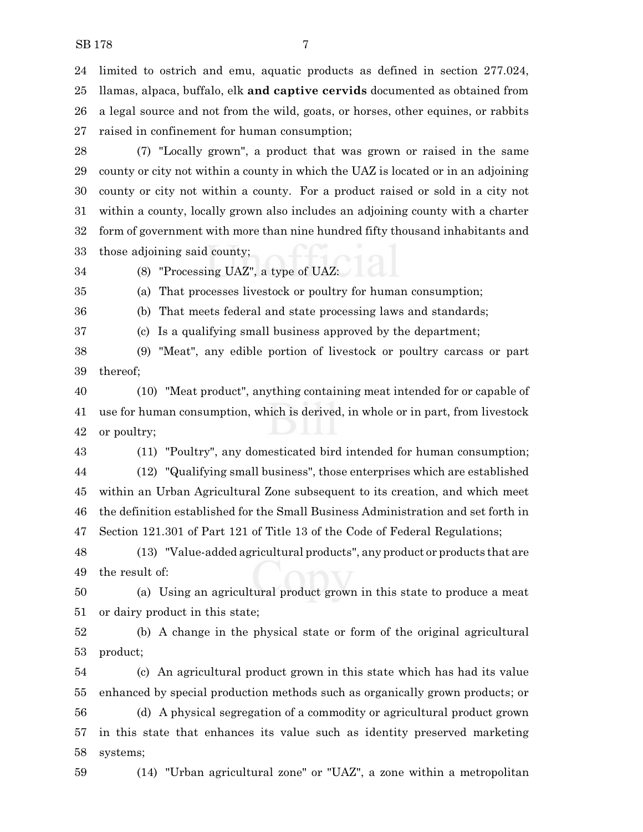limited to ostrich and emu, aquatic products as defined in section 277.024, llamas, alpaca, buffalo, elk **and captive cervids** documented as obtained from a legal source and not from the wild, goats, or horses, other equines, or rabbits raised in confinement for human consumption;

 (7) "Locally grown", a product that was grown or raised in the same county or city not within a county in which the UAZ is located or in an adjoining county or city not within a county. For a product raised or sold in a city not within a county, locally grown also includes an adjoining county with a charter form of government with more than nine hundred fifty thousand inhabitants and those adjoining said county;

(8) "Processing UAZ", a type of UAZ:

(a) That processes livestock or poultry for human consumption;

(b) That meets federal and state processing laws and standards;

(c) Is a qualifying small business approved by the department;

(9) "Meat", any edible portion of livestock or poultry carcass or part

thereof;

 (10) "Meat product", anything containing meat intended for or capable of use for human consumption, which is derived, in whole or in part, from livestock

or poultry;

 (11) "Poultry", any domesticated bird intended for human consumption; (12) "Qualifying small business", those enterprises which are established within an Urban Agricultural Zone subsequent to its creation, and which meet the definition established for the Small Business Administration and set forth in Section 121.301 of Part 121 of Title 13 of the Code of Federal Regulations;

 (13) "Value-added agricultural products", any product or products that are the result of:

 (a) Using an agricultural product grown in this state to produce a meat or dairy product in this state;

 (b) A change in the physical state or form of the original agricultural product;

 (c) An agricultural product grown in this state which has had its value enhanced by special production methods such as organically grown products; or (d) A physical segregation of a commodity or agricultural product grown in this state that enhances its value such as identity preserved marketing systems;

(14) "Urban agricultural zone" or "UAZ", a zone within a metropolitan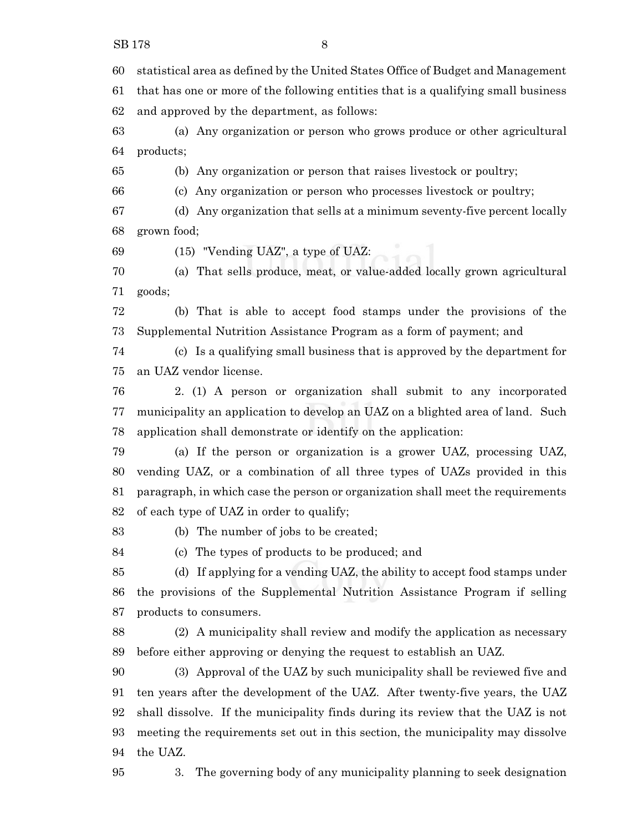statistical area as defined by the United States Office of Budget and Management

 that has one or more of the following entities that is a qualifying small business and approved by the department, as follows:

 (a) Any organization or person who grows produce or other agricultural products;

(b) Any organization or person that raises livestock or poultry;

(c) Any organization or person who processes livestock or poultry;

 (d) Any organization that sells at a minimum seventy-five percent locally grown food;

(15) "Vending UAZ", a type of UAZ:

 (a) That sells produce, meat, or value-added locally grown agricultural goods;

 (b) That is able to accept food stamps under the provisions of the Supplemental Nutrition Assistance Program as a form of payment; and

 (c) Is a qualifying small business that is approved by the department for an UAZ vendor license.

 2. (1) A person or organization shall submit to any incorporated municipality an application to develop an UAZ on a blighted area of land. Such application shall demonstrate or identify on the application:

 (a) If the person or organization is a grower UAZ, processing UAZ, vending UAZ, or a combination of all three types of UAZs provided in this paragraph, in which case the person or organization shall meet the requirements of each type of UAZ in order to qualify;

(b) The number of jobs to be created;

(c) The types of products to be produced; and

 (d) If applying for a vending UAZ, the ability to accept food stamps under the provisions of the Supplemental Nutrition Assistance Program if selling products to consumers.

 (2) A municipality shall review and modify the application as necessary before either approving or denying the request to establish an UAZ.

 (3) Approval of the UAZ by such municipality shall be reviewed five and ten years after the development of the UAZ. After twenty-five years, the UAZ shall dissolve. If the municipality finds during its review that the UAZ is not meeting the requirements set out in this section, the municipality may dissolve the UAZ.

3. The governing body of any municipality planning to seek designation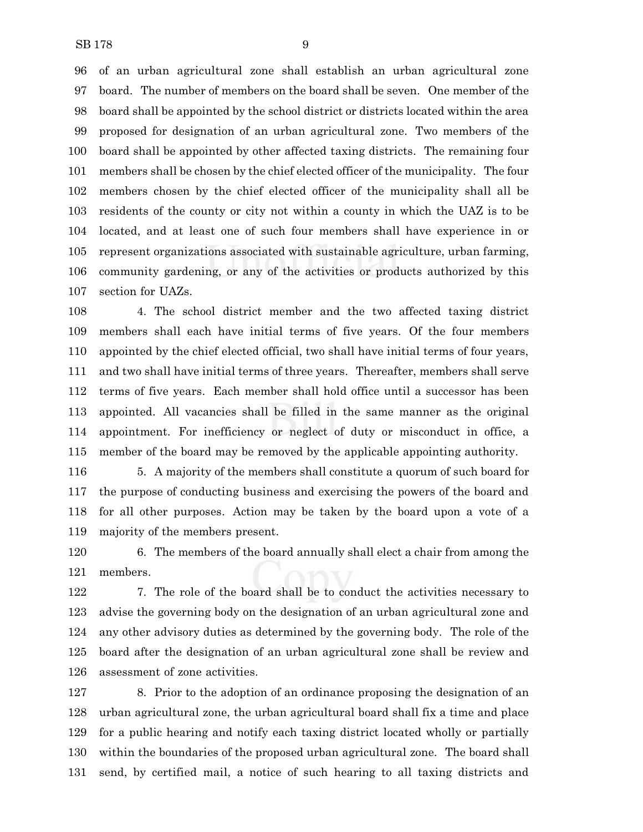of an urban agricultural zone shall establish an urban agricultural zone board. The number of members on the board shall be seven. One member of the board shall be appointed by the school district or districts located within the area proposed for designation of an urban agricultural zone. Two members of the board shall be appointed by other affected taxing districts. The remaining four members shall be chosen by the chief elected officer of the municipality. The four members chosen by the chief elected officer of the municipality shall all be residents of the county or city not within a county in which the UAZ is to be located, and at least one of such four members shall have experience in or represent organizations associated with sustainable agriculture, urban farming, community gardening, or any of the activities or products authorized by this section for UAZs.

 4. The school district member and the two affected taxing district members shall each have initial terms of five years. Of the four members appointed by the chief elected official, two shall have initial terms of four years, and two shall have initial terms of three years. Thereafter, members shall serve terms of five years. Each member shall hold office until a successor has been appointed. All vacancies shall be filled in the same manner as the original appointment. For inefficiency or neglect of duty or misconduct in office, a member of the board may be removed by the applicable appointing authority.

 5. A majority of the members shall constitute a quorum of such board for the purpose of conducting business and exercising the powers of the board and for all other purposes. Action may be taken by the board upon a vote of a majority of the members present.

 6. The members of the board annually shall elect a chair from among the members.

 7. The role of the board shall be to conduct the activities necessary to advise the governing body on the designation of an urban agricultural zone and any other advisory duties as determined by the governing body. The role of the board after the designation of an urban agricultural zone shall be review and assessment of zone activities.

 8. Prior to the adoption of an ordinance proposing the designation of an urban agricultural zone, the urban agricultural board shall fix a time and place for a public hearing and notify each taxing district located wholly or partially within the boundaries of the proposed urban agricultural zone. The board shall send, by certified mail, a notice of such hearing to all taxing districts and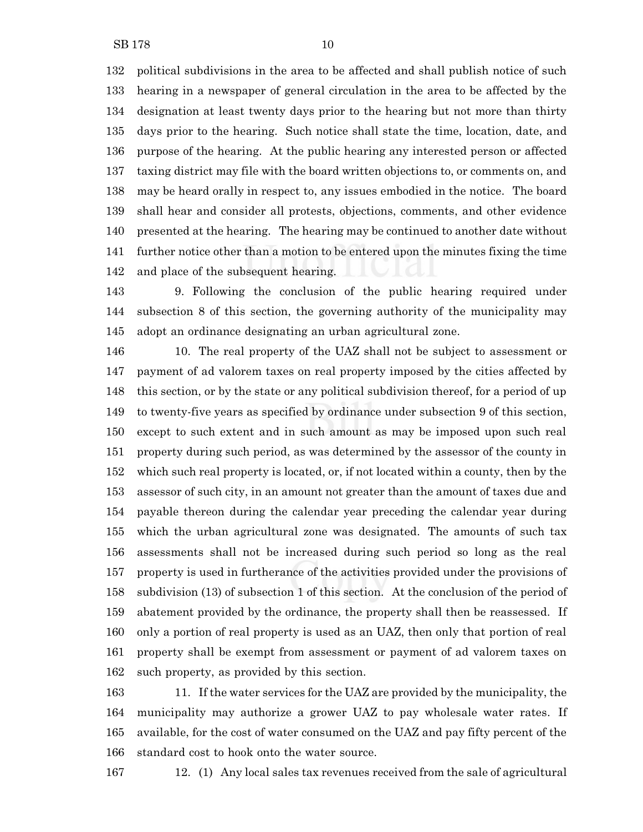political subdivisions in the area to be affected and shall publish notice of such hearing in a newspaper of general circulation in the area to be affected by the designation at least twenty days prior to the hearing but not more than thirty days prior to the hearing. Such notice shall state the time, location, date, and purpose of the hearing. At the public hearing any interested person or affected taxing district may file with the board written objections to, or comments on, and may be heard orally in respect to, any issues embodied in the notice. The board shall hear and consider all protests, objections, comments, and other evidence presented at the hearing. The hearing may be continued to another date without further notice other than a motion to be entered upon the minutes fixing the time

and place of the subsequent hearing.

 9. Following the conclusion of the public hearing required under subsection 8 of this section, the governing authority of the municipality may adopt an ordinance designating an urban agricultural zone.

 10. The real property of the UAZ shall not be subject to assessment or payment of ad valorem taxes on real property imposed by the cities affected by this section, or by the state or any political subdivision thereof, for a period of up to twenty-five years as specified by ordinance under subsection 9 of this section, except to such extent and in such amount as may be imposed upon such real property during such period, as was determined by the assessor of the county in which such real property is located, or, if not located within a county, then by the assessor of such city, in an amount not greater than the amount of taxes due and payable thereon during the calendar year preceding the calendar year during which the urban agricultural zone was designated. The amounts of such tax assessments shall not be increased during such period so long as the real property is used in furtherance of the activities provided under the provisions of subdivision (13) of subsection 1 of this section. At the conclusion of the period of abatement provided by the ordinance, the property shall then be reassessed. If only a portion of real property is used as an UAZ, then only that portion of real property shall be exempt from assessment or payment of ad valorem taxes on such property, as provided by this section.

 11. If the water services for the UAZ are provided by the municipality, the municipality may authorize a grower UAZ to pay wholesale water rates. If available, for the cost of water consumed on the UAZ and pay fifty percent of the standard cost to hook onto the water source.

12. (1) Any local sales tax revenues received from the sale of agricultural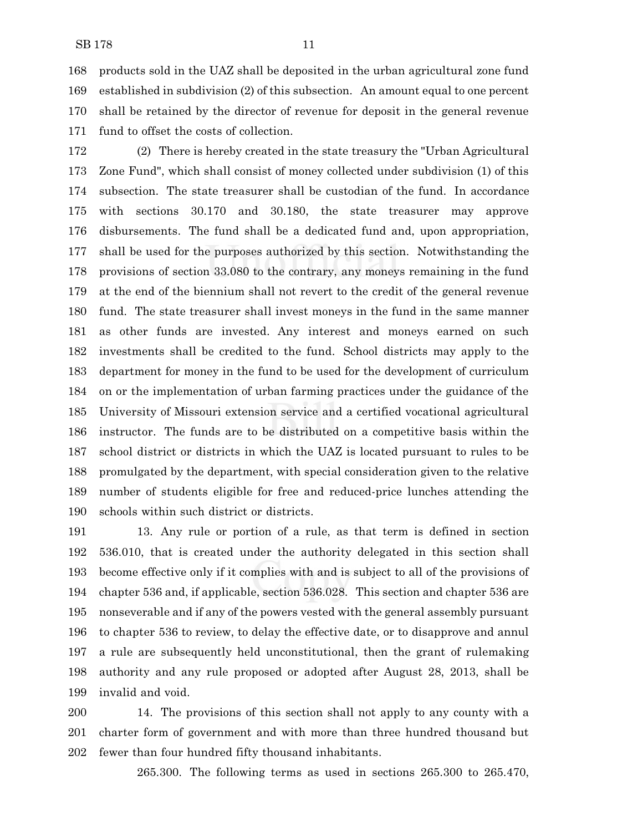products sold in the UAZ shall be deposited in the urban agricultural zone fund established in subdivision (2) of this subsection. An amount equal to one percent shall be retained by the director of revenue for deposit in the general revenue fund to offset the costs of collection.

 (2) There is hereby created in the state treasury the "Urban Agricultural Zone Fund", which shall consist of money collected under subdivision (1) of this subsection. The state treasurer shall be custodian of the fund. In accordance with sections 30.170 and 30.180, the state treasurer may approve disbursements. The fund shall be a dedicated fund and, upon appropriation, shall be used for the purposes authorized by this section. Notwithstanding the provisions of section 33.080 to the contrary, any moneys remaining in the fund at the end of the biennium shall not revert to the credit of the general revenue fund. The state treasurer shall invest moneys in the fund in the same manner as other funds are invested. Any interest and moneys earned on such investments shall be credited to the fund. School districts may apply to the department for money in the fund to be used for the development of curriculum on or the implementation of urban farming practices under the guidance of the University of Missouri extension service and a certified vocational agricultural instructor. The funds are to be distributed on a competitive basis within the school district or districts in which the UAZ is located pursuant to rules to be promulgated by the department, with special consideration given to the relative number of students eligible for free and reduced-price lunches attending the schools within such district or districts.

 13. Any rule or portion of a rule, as that term is defined in section 536.010, that is created under the authority delegated in this section shall become effective only if it complies with and is subject to all of the provisions of chapter 536 and, if applicable, section 536.028. This section and chapter 536 are nonseverable and if any of the powers vested with the general assembly pursuant to chapter 536 to review, to delay the effective date, or to disapprove and annul a rule are subsequently held unconstitutional, then the grant of rulemaking authority and any rule proposed or adopted after August 28, 2013, shall be invalid and void.

 14. The provisions of this section shall not apply to any county with a charter form of government and with more than three hundred thousand but fewer than four hundred fifty thousand inhabitants.

265.300. The following terms as used in sections 265.300 to 265.470,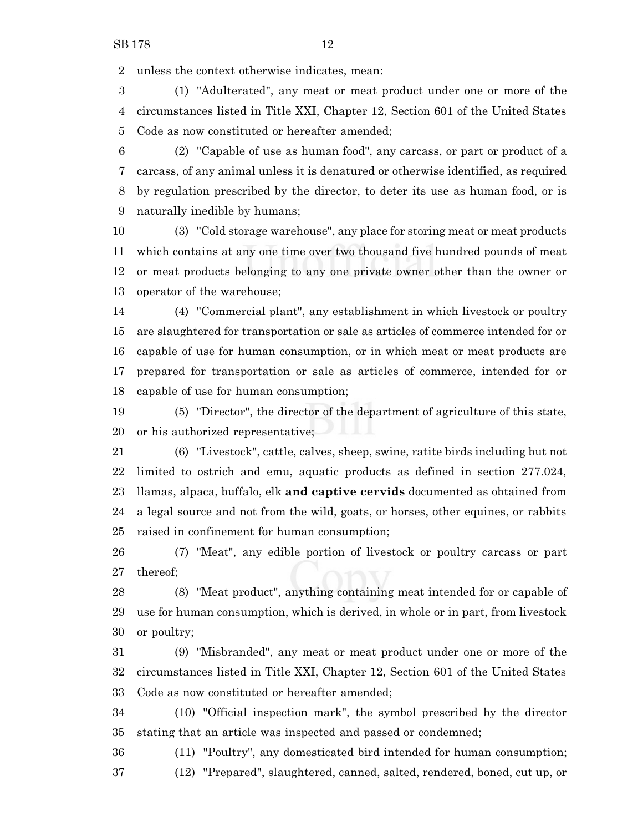unless the context otherwise indicates, mean:

 (1) "Adulterated", any meat or meat product under one or more of the circumstances listed in Title XXI, Chapter 12, Section 601 of the United States Code as now constituted or hereafter amended;

 (2) "Capable of use as human food", any carcass, or part or product of a carcass, of any animal unless it is denatured or otherwise identified, as required by regulation prescribed by the director, to deter its use as human food, or is naturally inedible by humans;

 (3) "Cold storage warehouse", any place for storing meat or meat products which contains at any one time over two thousand five hundred pounds of meat or meat products belonging to any one private owner other than the owner or operator of the warehouse;

 (4) "Commercial plant", any establishment in which livestock or poultry are slaughtered for transportation or sale as articles of commerce intended for or capable of use for human consumption, or in which meat or meat products are prepared for transportation or sale as articles of commerce, intended for or capable of use for human consumption;

 (5) "Director", the director of the department of agriculture of this state, or his authorized representative;

 (6) "Livestock", cattle, calves, sheep, swine, ratite birds including but not limited to ostrich and emu, aquatic products as defined in section 277.024, llamas, alpaca, buffalo, elk **and captive cervids** documented as obtained from a legal source and not from the wild, goats, or horses, other equines, or rabbits raised in confinement for human consumption;

 (7) "Meat", any edible portion of livestock or poultry carcass or part thereof;

 (8) "Meat product", anything containing meat intended for or capable of use for human consumption, which is derived, in whole or in part, from livestock or poultry;

 (9) "Misbranded", any meat or meat product under one or more of the circumstances listed in Title XXI, Chapter 12, Section 601 of the United States Code as now constituted or hereafter amended;

 (10) "Official inspection mark", the symbol prescribed by the director stating that an article was inspected and passed or condemned;

(11) "Poultry", any domesticated bird intended for human consumption;

(12) "Prepared", slaughtered, canned, salted, rendered, boned, cut up, or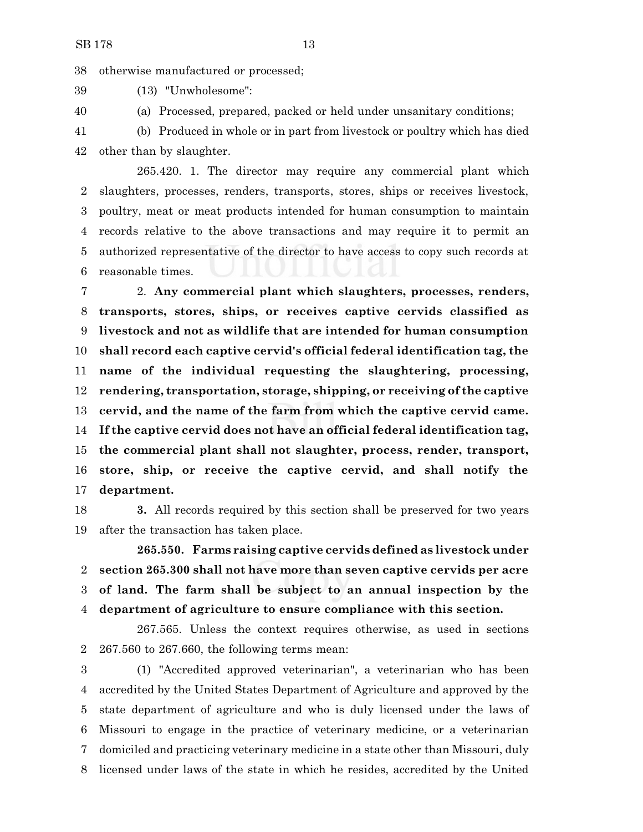otherwise manufactured or processed;

(13) "Unwholesome":

(a) Processed, prepared, packed or held under unsanitary conditions;

 (b) Produced in whole or in part from livestock or poultry which has died other than by slaughter.

265.420. 1. The director may require any commercial plant which slaughters, processes, renders, transports, stores, ships or receives livestock, poultry, meat or meat products intended for human consumption to maintain records relative to the above transactions and may require it to permit an authorized representative of the director to have access to copy such records at reasonable times.

 2. **Any commercial plant which slaughters, processes, renders, transports, stores, ships, or receives captive cervids classified as livestock and not as wildlife that are intended for human consumption shall record each captive cervid's official federal identification tag, the name of the individual requesting the slaughtering, processing, rendering, transportation, storage, shipping, or receiving of the captive cervid, and the name of the farm from which the captive cervid came. If the captive cervid does not have an official federal identification tag, the commercial plant shall not slaughter, process, render, transport, store, ship, or receive the captive cervid, and shall notify the department.**

 **3.** All records required by this section shall be preserved for two years after the transaction has taken place.

**265.550. Farms raising captive cervids defined as livestock under section 265.300 shall not have more than seven captive cervids per acre of land. The farm shall be subject to an annual inspection by the department of agriculture to ensure compliance with this section.**

267.565. Unless the context requires otherwise, as used in sections 267.560 to 267.660, the following terms mean:

 (1) "Accredited approved veterinarian", a veterinarian who has been accredited by the United States Department of Agriculture and approved by the state department of agriculture and who is duly licensed under the laws of Missouri to engage in the practice of veterinary medicine, or a veterinarian domiciled and practicing veterinary medicine in a state other than Missouri, duly licensed under laws of the state in which he resides, accredited by the United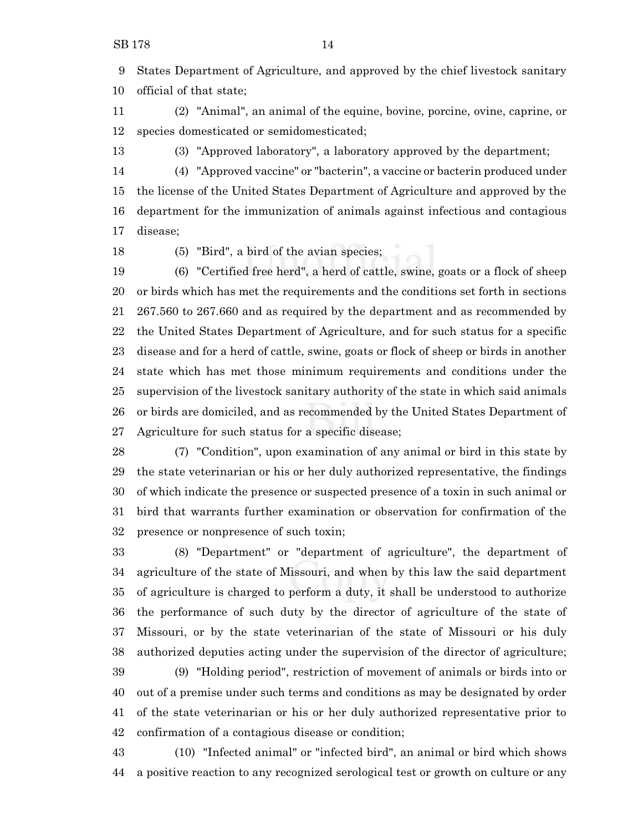States Department of Agriculture, and approved by the chief livestock sanitary official of that state;

 (2) "Animal", an animal of the equine, bovine, porcine, ovine, caprine, or species domesticated or semidomesticated;

(3) "Approved laboratory", a laboratory approved by the department;

 (4) "Approved vaccine" or "bacterin", a vaccine or bacterin produced under the license of the United States Department of Agriculture and approved by the department for the immunization of animals against infectious and contagious disease;

(5) "Bird", a bird of the avian species;

 (6) "Certified free herd", a herd of cattle, swine, goats or a flock of sheep or birds which has met the requirements and the conditions set forth in sections 267.560 to 267.660 and as required by the department and as recommended by the United States Department of Agriculture, and for such status for a specific disease and for a herd of cattle, swine, goats or flock of sheep or birds in another state which has met those minimum requirements and conditions under the supervision of the livestock sanitary authority of the state in which said animals or birds are domiciled, and as recommended by the United States Department of Agriculture for such status for a specific disease;

 (7) "Condition", upon examination of any animal or bird in this state by the state veterinarian or his or her duly authorized representative, the findings of which indicate the presence or suspected presence of a toxin in such animal or bird that warrants further examination or observation for confirmation of the presence or nonpresence of such toxin;

 (8) "Department" or "department of agriculture", the department of agriculture of the state of Missouri, and when by this law the said department of agriculture is charged to perform a duty, it shall be understood to authorize the performance of such duty by the director of agriculture of the state of Missouri, or by the state veterinarian of the state of Missouri or his duly authorized deputies acting under the supervision of the director of agriculture; (9) "Holding period", restriction of movement of animals or birds into or

 out of a premise under such terms and conditions as may be designated by order of the state veterinarian or his or her duly authorized representative prior to confirmation of a contagious disease or condition;

 (10) "Infected animal" or "infected bird", an animal or bird which shows a positive reaction to any recognized serological test or growth on culture or any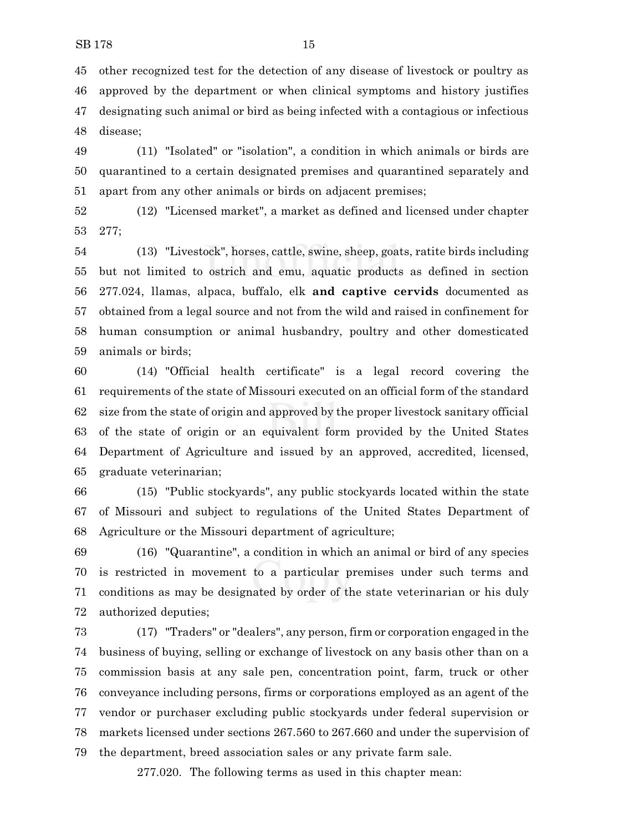other recognized test for the detection of any disease of livestock or poultry as approved by the department or when clinical symptoms and history justifies designating such animal or bird as being infected with a contagious or infectious disease;

 (11) "Isolated" or "isolation", a condition in which animals or birds are quarantined to a certain designated premises and quarantined separately and apart from any other animals or birds on adjacent premises;

 (12) "Licensed market", a market as defined and licensed under chapter 277;

 (13) "Livestock", horses, cattle, swine, sheep, goats, ratite birds including but not limited to ostrich and emu, aquatic products as defined in section 277.024, llamas, alpaca, buffalo, elk **and captive cervids** documented as obtained from a legal source and not from the wild and raised in confinement for human consumption or animal husbandry, poultry and other domesticated animals or birds;

 (14) "Official health certificate" is a legal record covering the requirements of the state of Missouri executed on an official form of the standard size from the state of origin and approved by the proper livestock sanitary official of the state of origin or an equivalent form provided by the United States Department of Agriculture and issued by an approved, accredited, licensed, graduate veterinarian;

 (15) "Public stockyards", any public stockyards located within the state of Missouri and subject to regulations of the United States Department of Agriculture or the Missouri department of agriculture;

 (16) "Quarantine", a condition in which an animal or bird of any species is restricted in movement to a particular premises under such terms and conditions as may be designated by order of the state veterinarian or his duly authorized deputies;

 (17) "Traders" or "dealers", any person, firm or corporation engaged in the business of buying, selling or exchange of livestock on any basis other than on a commission basis at any sale pen, concentration point, farm, truck or other conveyance including persons, firms or corporations employed as an agent of the vendor or purchaser excluding public stockyards under federal supervision or markets licensed under sections 267.560 to 267.660 and under the supervision of the department, breed association sales or any private farm sale.

277.020. The following terms as used in this chapter mean: